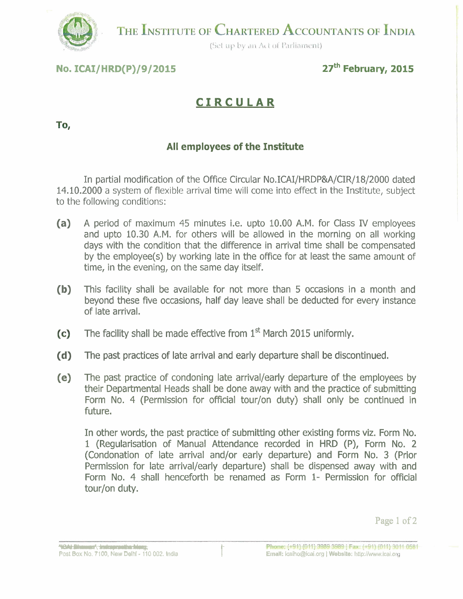

THE INSTITUTE OF CHARTERED ACCOUNTANTS OF INDIA

(Set up by an Act of Parliament)

# **No. ICAI/HRD(P)/9/2015 27<sup>th</sup> February, 2015**

# **CIRCULAR**

### To,

# **All employees of the Institute**

In partial modification of the Office Circular No.ICAI/HRDP&A/CIR/l8/2000 dated **14.10.2000** a system of flexible arrival time will come into effect in the Institute, subject to the following conditions:

- **(a)** A period of maximum 45 minutes i.e. upto **10.00** A.M. for Class IV employees and upto **10.30** A.M. for others will be allowed in the morning on all working days with the condition that the difference in arrival time shall be compensated by the employee(s) by working late in the office for at least the same amount of time, in the evening, on the same day itself.
- **(b)** This facility shall be available for not more than 5 occasions in a month and beyond these five occasions, half day leave shall be deducted for every instance of late arrival.
- The facility shall be made effective from 1<sup>st</sup> March 2015 uniformly.  $(c)$
- **(d)** The past practices of late arrival and early departure shall be discontinued.
- **(e)** The past practice of condoning late arrival/early departure of the employees by their Departmental Heads shall be done away with and the practice of submitting Form No. 4 (Permission for official tour/on duty) shall only be continued in future.

In other words, the past practice of submitting other existing forms viz. Form No. **I** (Regularisation of Manual Attendance recorded in HRD (P), Form No. 2 (Condonation of late arrival and/or early departure) and Form No. 3 (Prior Permission for late arrival/early departure) shall be dispensed away with and Form No. 4 shall henceforth be renamed as Form **I-** Permission for official tour/on duty.

**Page** 1 **of** 2